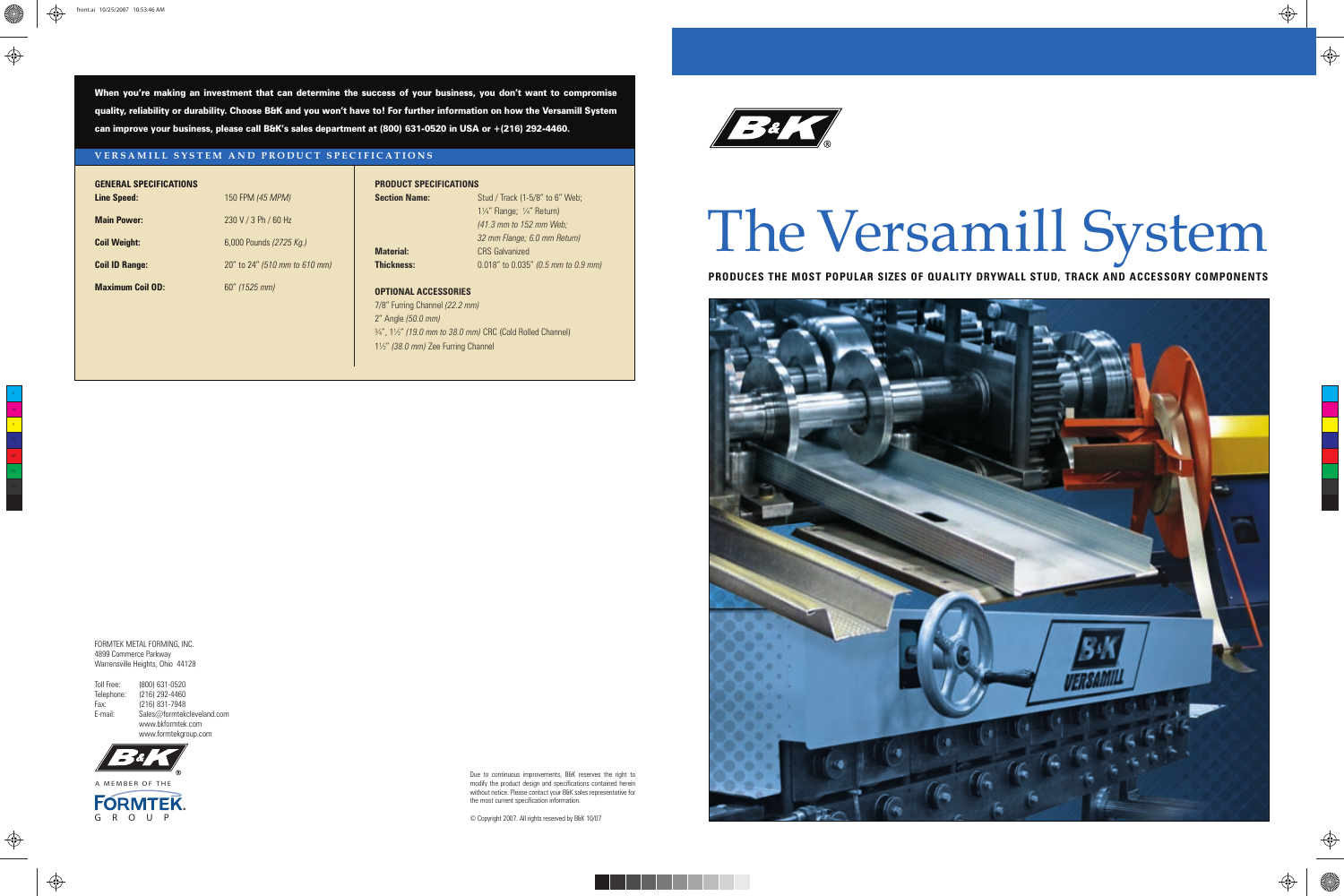# The Versamill System

**PRODUCES THE MOST POPULAR SIZES OF QUALITY DRYWALL STUD, TRACK AND ACCESSORY COMPONENTS**



When you're making an investment that can determine the success of your business, you don't want to compromise quality, reliability or durability. Choose B&K and you won't have to! For further information on how the Versamill System can improve your business, please call B&K's sales department at (800) 631-0520 in USA or +(216) 292-4460.

> **Section Name:** Stud / Track (1-5/8" to 6" Web; 1¼" Flange; ¼" Return) *(41.3 mm to 152 mm Web; 32 mm Flange; 6.0 mm Return)* **Material:** CRS Galvanized **Thickness:** 0.018" to 0.035" *(0.5 mm to 0.9 mm)*

#### **VERSAMILL SYSTEM AND PRODUCT SPECIFICATIONS**

# **GENERAL SPECIFICATIONS**

**Line Speed:** 150 FPM *(45 MPM)*

**Main Power:** 230 V / 3 Ph / 60 Hz

**Coil Weight:** 6,000 Pounds *(2725 Kg.)* **Coil ID Range:** 20" to 24" *(510 mm to 610 mm)* **Maximum Coil OD:** 60" *(1525 mm)*

#### **PRODUCT SPECIFICATIONS**

## **OPTIONAL ACCESSORIES**

7/8" Furring Channel *(22.2 mm)* 2" Angle *(50.0 mm)* ¾", 1½" *(19.0 mm to 38.0 mm)* CRC (Cold Rolled Channel) 1½" *(38.0 mm)* Zee Furring Channel

**Ba** 

FORMTEK METAL FORMING, INC. 4899 Commerce Parkway Warrensville Heights, Ohio 44128

| Toll Free: | (800) 631-0520             |
|------------|----------------------------|
| Telephone: | (216) 292-4460             |
| Fax:       | (216) 831-7948             |
| E-mail:    | Sales@formtekcleveland.com |
|            | www.bkformtek.com          |
|            | www.formtekgroup.com       |

Due to continuous improvements, B&K reserves the right to modify the product design and specifications contained herein without notice. Please contact your B&K sales representative for the most current specification information.



⊕

© Copyright 2007. All rights reserved by B&K 10/07



 $\bigoplus$ 

 $\bigoplus$ 





Y

♦